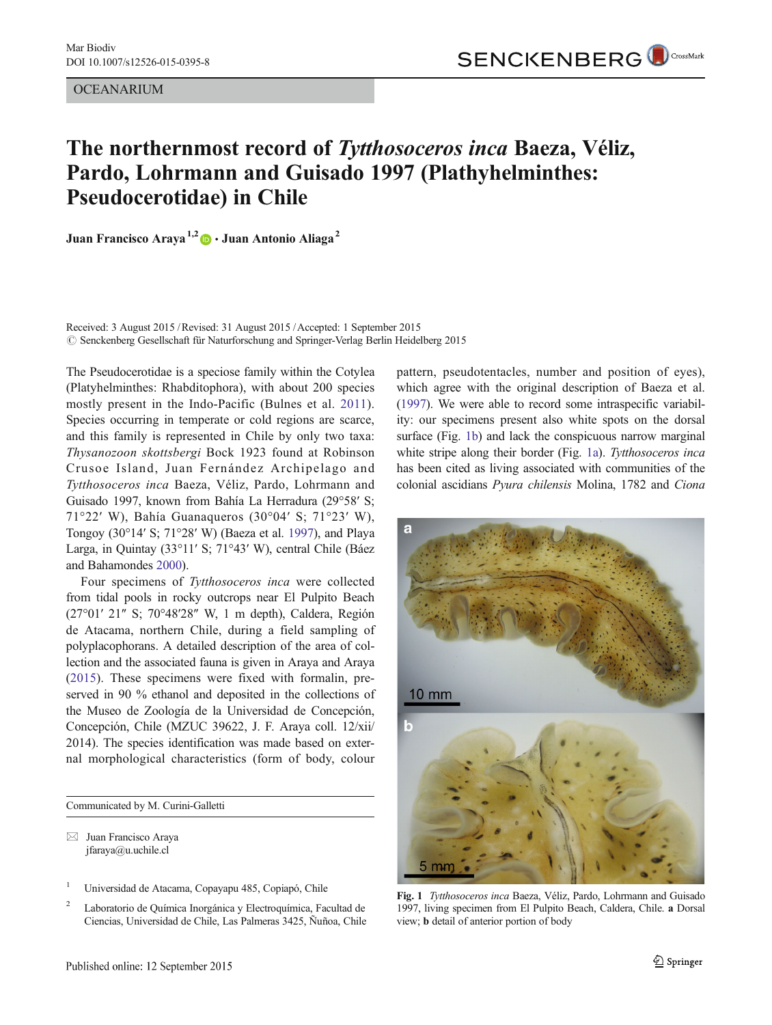OCEANARIUM

## The northernmost record of Tytthosoceros inca Baeza, Véliz, Pardo, Lohrmann and Guisado 1997 (Plathyhelminthes: Pseudocerotidae) in Chile

Juan Francisco Araya<sup>1,2</sup>  $\bullet$  · Juan Antonio Aliaga<sup>2</sup>

Received: 3 August 2015 /Revised: 31 August 2015 /Accepted: 1 September 2015 # Senckenberg Gesellschaft für Naturforschung and Springer-Verlag Berlin Heidelberg 2015

The Pseudocerotidae is a speciose family within the Cotylea (Platyhelminthes: Rhabditophora), with about 200 species mostly present in the Indo-Pacific (Bulnes et al. [2011](#page-1-0)). Species occurring in temperate or cold regions are scarce, and this family is represented in Chile by only two taxa: Thysanozoon skottsbergi Bock 1923 found at Robinson Crusoe Island, Juan Fernández Archipelago and Tytthosoceros inca Baeza, Véliz, Pardo, Lohrmann and Guisado 1997, known from Bahía La Herradura (29°58′ S; 71°22′ W), Bahía Guanaqueros (30°04′ S; 71°23′ W), Tongoy (30°14′ S; 71°28′ W) (Baeza et al. [1997\)](#page-1-0), and Playa Larga, in Quintay (33°11′ S; 71°43′ W), central Chile (Báez and Bahamondes [2000](#page-1-0)).

Four specimens of Tytthosoceros inca were collected from tidal pools in rocky outcrops near El Pulpito Beach (27°01′ 21″ S; 70°48′28″ W, 1 m depth), Caldera, Región de Atacama, northern Chile, during a field sampling of polyplacophorans. A detailed description of the area of collection and the associated fauna is given in Araya and Araya [\(2015](#page-1-0)). These specimens were fixed with formalin, preserved in 90 % ethanol and deposited in the collections of the Museo de Zoología de la Universidad de Concepción, Concepción, Chile (MZUC 39622, J. F. Araya coll. 12/xii/ 2014). The species identification was made based on external morphological characteristics (form of body, colour

Communicated by M. Curini-Galletti

 $\boxtimes$  Juan Francisco Araya jfaraya@u.uchile.cl

- <sup>1</sup> Universidad de Atacama, Copayapu 485, Copiapó, Chile
- <sup>2</sup> Laboratorio de Química Inorgánica y Electroquímica, Facultad de Ciencias, Universidad de Chile, Las Palmeras 3425, Ñuñoa, Chile

pattern, pseudotentacles, number and position of eyes), which agree with the original description of Baeza et al. [\(1997\)](#page-1-0). We were able to record some intraspecific variability: our specimens present also white spots on the dorsal surface (Fig. 1b) and lack the conspicuous narrow marginal white stripe along their border (Fig. 1a). Tytthosoceros inca has been cited as living associated with communities of the colonial ascidians Pyura chilensis Molina, 1782 and Ciona



Fig. 1 Tytthosoceros inca Baeza, Véliz, Pardo, Lohrmann and Guisado 1997, living specimen from El Pulpito Beach, Caldera, Chile. a Dorsal view; b detail of anterior portion of body